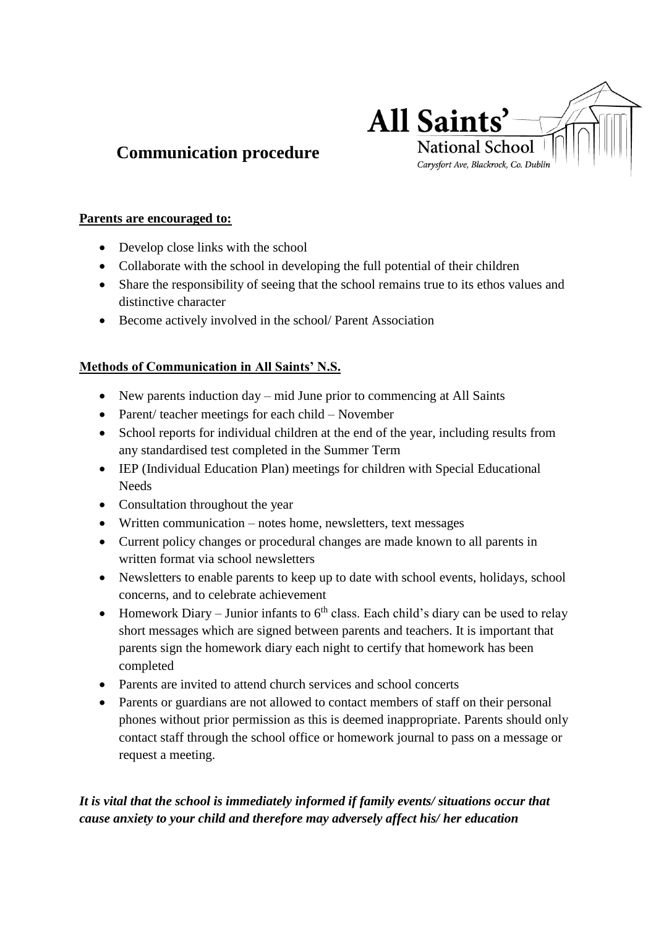

# **Communication procedure**

#### **Parents are encouraged to:**

- Develop close links with the school
- Collaborate with the school in developing the full potential of their children
- Share the responsibility of seeing that the school remains true to its ethos values and distinctive character
- Become actively involved in the school/ Parent Association

# **Methods of Communication in All Saints' N.S.**

- New parents induction day mid June prior to commencing at All Saints
- Parent/ teacher meetings for each child November
- School reports for individual children at the end of the year, including results from any standardised test completed in the Summer Term
- IEP (Individual Education Plan) meetings for children with Special Educational **Needs**
- Consultation throughout the year
- Written communication notes home, newsletters, text messages
- Current policy changes or procedural changes are made known to all parents in written format via school newsletters
- Newsletters to enable parents to keep up to date with school events, holidays, school concerns, and to celebrate achievement
- Homework Diary Junior infants to  $6<sup>th</sup>$  class. Each child's diary can be used to relay short messages which are signed between parents and teachers. It is important that parents sign the homework diary each night to certify that homework has been completed
- Parents are invited to attend church services and school concerts
- Parents or guardians are not allowed to contact members of staff on their personal phones without prior permission as this is deemed inappropriate. Parents should only contact staff through the school office or homework journal to pass on a message or request a meeting.

# *It is vital that the school is immediately informed if family events/ situations occur that cause anxiety to your child and therefore may adversely affect his/ her education*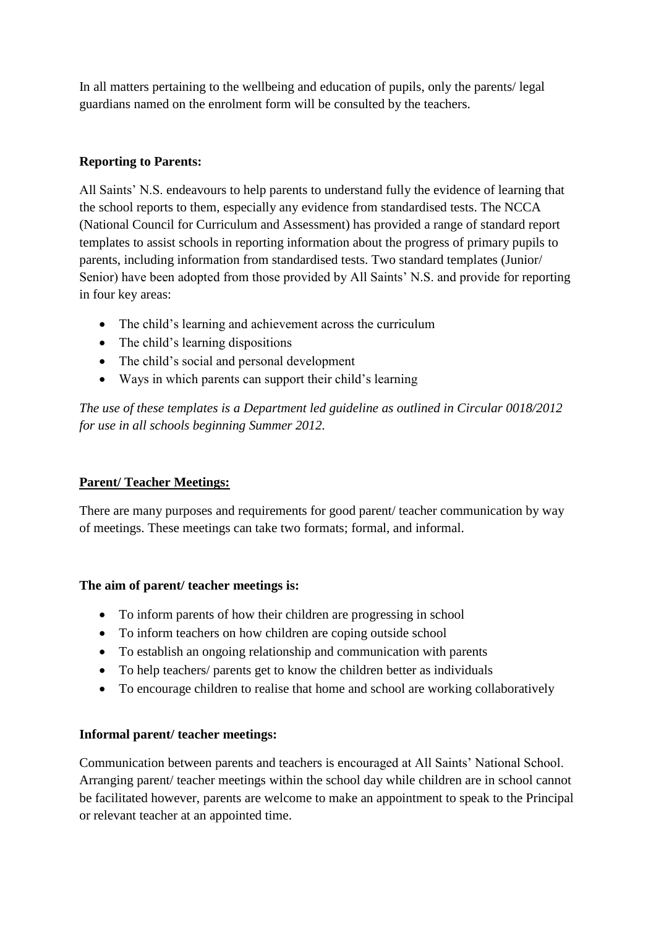In all matters pertaining to the wellbeing and education of pupils, only the parents/ legal guardians named on the enrolment form will be consulted by the teachers.

## **Reporting to Parents:**

All Saints' N.S. endeavours to help parents to understand fully the evidence of learning that the school reports to them, especially any evidence from standardised tests. The NCCA (National Council for Curriculum and Assessment) has provided a range of standard report templates to assist schools in reporting information about the progress of primary pupils to parents, including information from standardised tests. Two standard templates (Junior/ Senior) have been adopted from those provided by All Saints' N.S. and provide for reporting in four key areas:

- The child's learning and achievement across the curriculum
- The child's learning dispositions
- The child's social and personal development
- Ways in which parents can support their child's learning

*The use of these templates is a Department led guideline as outlined in Circular 0018/2012 for use in all schools beginning Summer 2012.*

#### **Parent/ Teacher Meetings:**

There are many purposes and requirements for good parent/ teacher communication by way of meetings. These meetings can take two formats; formal, and informal.

#### **The aim of parent/ teacher meetings is:**

- To inform parents of how their children are progressing in school
- To inform teachers on how children are coping outside school
- To establish an ongoing relationship and communication with parents
- To help teachers/ parents get to know the children better as individuals
- To encourage children to realise that home and school are working collaboratively

# **Informal parent/ teacher meetings:**

Communication between parents and teachers is encouraged at All Saints' National School. Arranging parent/ teacher meetings within the school day while children are in school cannot be facilitated however, parents are welcome to make an appointment to speak to the Principal or relevant teacher at an appointed time.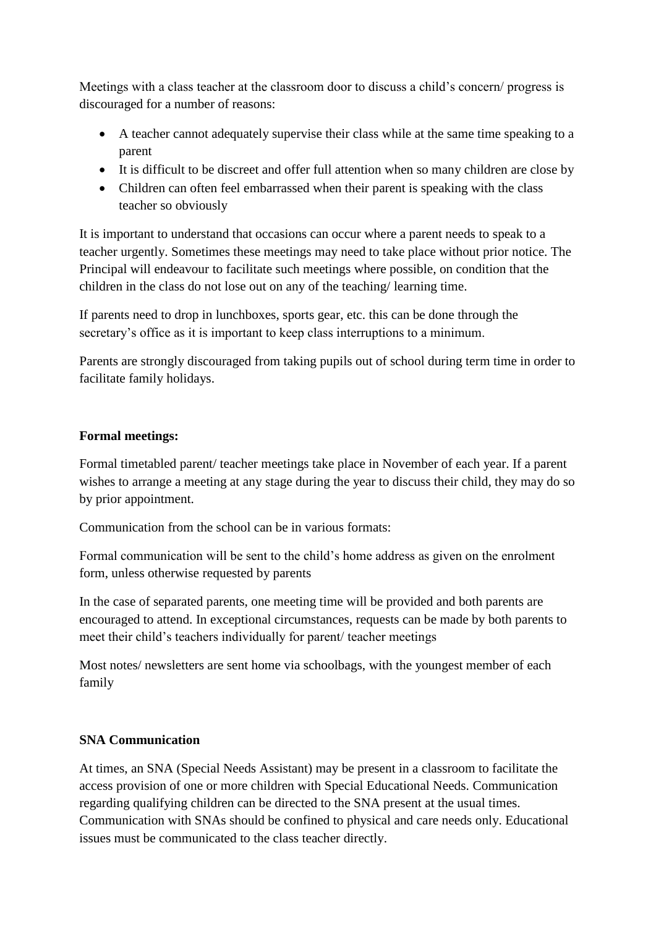Meetings with a class teacher at the classroom door to discuss a child's concern/ progress is discouraged for a number of reasons:

- A teacher cannot adequately supervise their class while at the same time speaking to a parent
- It is difficult to be discreet and offer full attention when so many children are close by
- Children can often feel embarrassed when their parent is speaking with the class teacher so obviously

It is important to understand that occasions can occur where a parent needs to speak to a teacher urgently. Sometimes these meetings may need to take place without prior notice. The Principal will endeavour to facilitate such meetings where possible, on condition that the children in the class do not lose out on any of the teaching/ learning time.

If parents need to drop in lunchboxes, sports gear, etc. this can be done through the secretary's office as it is important to keep class interruptions to a minimum.

Parents are strongly discouraged from taking pupils out of school during term time in order to facilitate family holidays.

# **Formal meetings:**

Formal timetabled parent/ teacher meetings take place in November of each year. If a parent wishes to arrange a meeting at any stage during the year to discuss their child, they may do so by prior appointment.

Communication from the school can be in various formats:

Formal communication will be sent to the child's home address as given on the enrolment form, unless otherwise requested by parents

In the case of separated parents, one meeting time will be provided and both parents are encouraged to attend. In exceptional circumstances, requests can be made by both parents to meet their child's teachers individually for parent/ teacher meetings

Most notes/ newsletters are sent home via schoolbags, with the youngest member of each family

# **SNA Communication**

At times, an SNA (Special Needs Assistant) may be present in a classroom to facilitate the access provision of one or more children with Special Educational Needs. Communication regarding qualifying children can be directed to the SNA present at the usual times. Communication with SNAs should be confined to physical and care needs only. Educational issues must be communicated to the class teacher directly.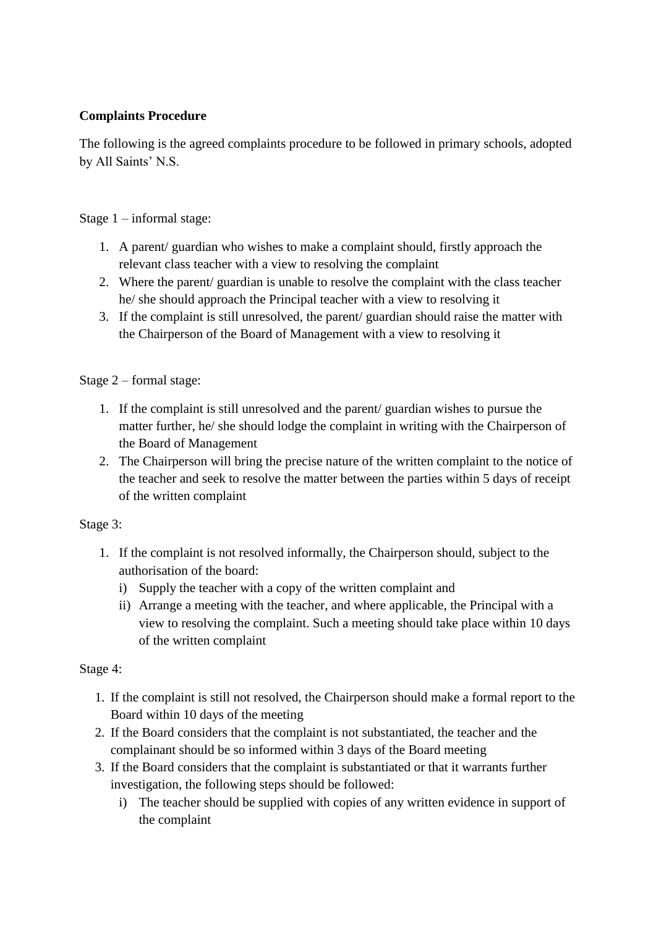## **Complaints Procedure**

The following is the agreed complaints procedure to be followed in primary schools, adopted by All Saints' N.S.

Stage 1 – informal stage:

- 1. A parent/ guardian who wishes to make a complaint should, firstly approach the relevant class teacher with a view to resolving the complaint
- 2. Where the parent/ guardian is unable to resolve the complaint with the class teacher he/ she should approach the Principal teacher with a view to resolving it
- 3. If the complaint is still unresolved, the parent/ guardian should raise the matter with the Chairperson of the Board of Management with a view to resolving it

Stage 2 – formal stage:

- 1. If the complaint is still unresolved and the parent/ guardian wishes to pursue the matter further, he/ she should lodge the complaint in writing with the Chairperson of the Board of Management
- 2. The Chairperson will bring the precise nature of the written complaint to the notice of the teacher and seek to resolve the matter between the parties within 5 days of receipt of the written complaint

Stage 3:

- 1. If the complaint is not resolved informally, the Chairperson should, subject to the authorisation of the board:
	- i) Supply the teacher with a copy of the written complaint and
	- ii) Arrange a meeting with the teacher, and where applicable, the Principal with a view to resolving the complaint. Such a meeting should take place within 10 days of the written complaint

#### Stage 4:

- 1. If the complaint is still not resolved, the Chairperson should make a formal report to the Board within 10 days of the meeting
- 2. If the Board considers that the complaint is not substantiated, the teacher and the complainant should be so informed within 3 days of the Board meeting
- 3. If the Board considers that the complaint is substantiated or that it warrants further investigation, the following steps should be followed:
	- i) The teacher should be supplied with copies of any written evidence in support of the complaint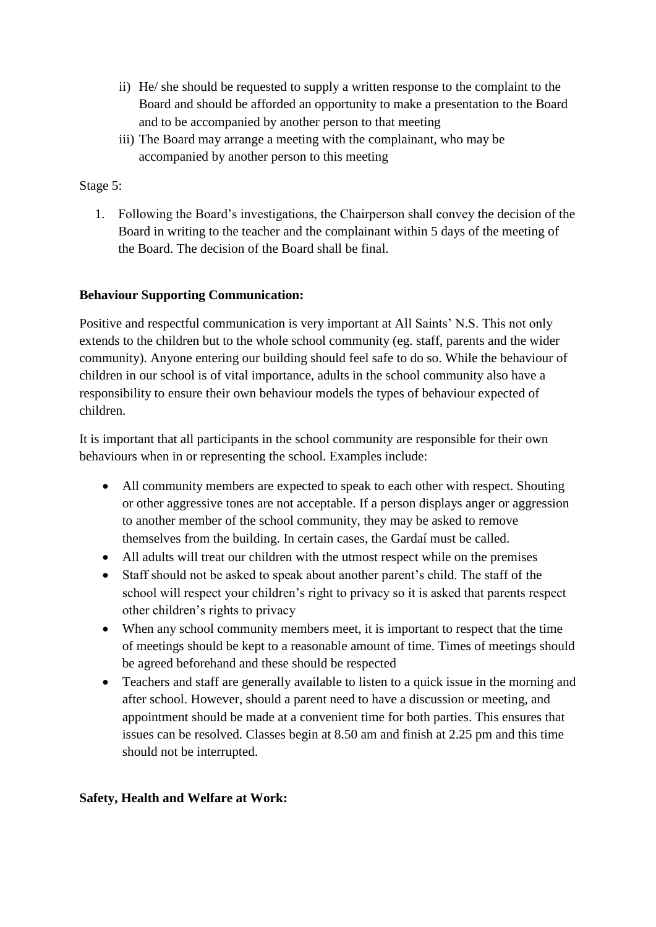- ii) He/ she should be requested to supply a written response to the complaint to the Board and should be afforded an opportunity to make a presentation to the Board and to be accompanied by another person to that meeting
- iii) The Board may arrange a meeting with the complainant, who may be accompanied by another person to this meeting

#### Stage 5:

1. Following the Board's investigations, the Chairperson shall convey the decision of the Board in writing to the teacher and the complainant within 5 days of the meeting of the Board. The decision of the Board shall be final.

#### **Behaviour Supporting Communication:**

Positive and respectful communication is very important at All Saints' N.S. This not only extends to the children but to the whole school community (eg. staff, parents and the wider community). Anyone entering our building should feel safe to do so. While the behaviour of children in our school is of vital importance, adults in the school community also have a responsibility to ensure their own behaviour models the types of behaviour expected of children.

It is important that all participants in the school community are responsible for their own behaviours when in or representing the school. Examples include:

- All community members are expected to speak to each other with respect. Shouting or other aggressive tones are not acceptable. If a person displays anger or aggression to another member of the school community, they may be asked to remove themselves from the building. In certain cases, the Gardaí must be called.
- All adults will treat our children with the utmost respect while on the premises
- Staff should not be asked to speak about another parent's child. The staff of the school will respect your children's right to privacy so it is asked that parents respect other children's rights to privacy
- When any school community members meet, it is important to respect that the time of meetings should be kept to a reasonable amount of time. Times of meetings should be agreed beforehand and these should be respected
- Teachers and staff are generally available to listen to a quick issue in the morning and after school. However, should a parent need to have a discussion or meeting, and appointment should be made at a convenient time for both parties. This ensures that issues can be resolved. Classes begin at 8.50 am and finish at 2.25 pm and this time should not be interrupted.

# **Safety, Health and Welfare at Work:**